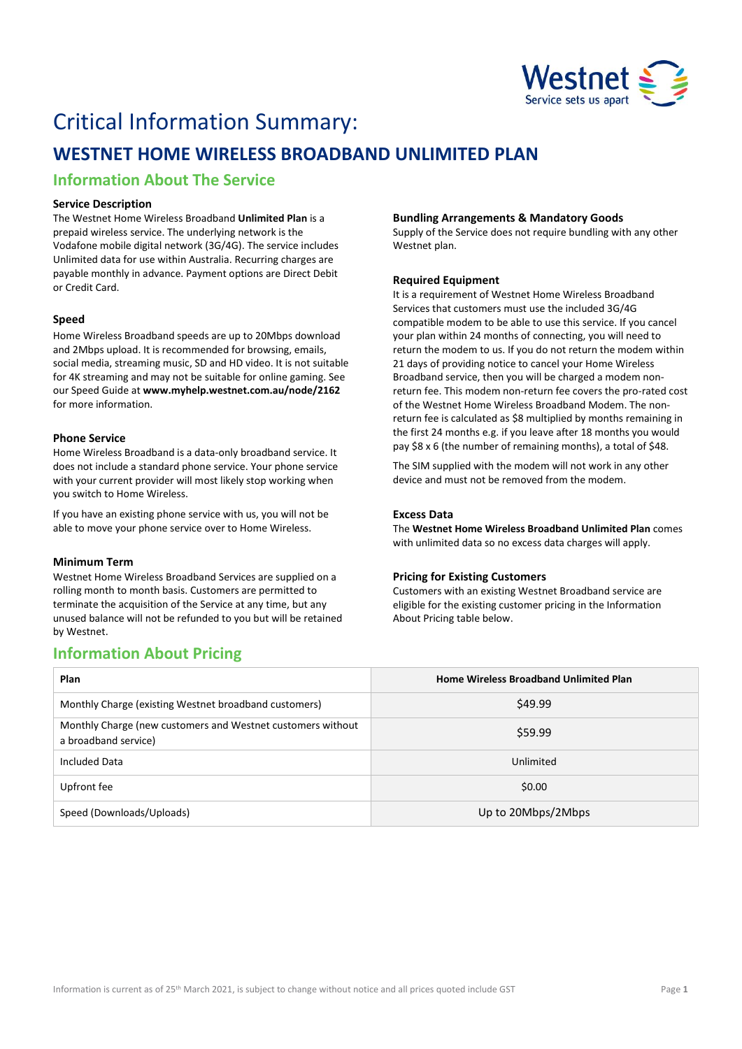

# Critical Information Summary:

## **WESTNET HOME WIRELESS BROADBAND UNLIMITED PLAN**

## **Information About The Service**

#### **Service Description**

The Westnet Home Wireless Broadband **Unlimited Plan** is a prepaid wireless service. The underlying network is the Vodafone mobile digital network (3G/4G). The service includes Unlimited data for use within Australia. Recurring charges are payable monthly in advance. Payment options are Direct Debit or Credit Card.

#### **Speed**

Home Wireless Broadband speeds are up to 20Mbps download and 2Mbps upload. It is recommended for browsing, emails, social media, streaming music, SD and HD video. It is not suitable for 4K streaming and may not be suitable for online gaming. See our Speed Guide at **[www.myhelp.westnet.com.au/node/2162](http://www.myhelp.westnet.com.au/node/2162)** for more information.

#### **Phone Service**

Home Wireless Broadband is a data-only broadband service. It does not include a standard phone service. Your phone service with your current provider will most likely stop working when you switch to Home Wireless.

If you have an existing phone service with us, you will not be able to move your phone service over to Home Wireless.

#### **Minimum Term**

Westnet Home Wireless Broadband Services are supplied on a rolling month to month basis. Customers are permitted to terminate the acquisition of the Service at any time, but any unused balance will not be refunded to you but will be retained by Westnet.

## **Information About Pricing**

#### **Bundling Arrangements & Mandatory Goods**

Supply of the Service does not require bundling with any other Westnet plan.

#### **Required Equipment**

It is a requirement of Westnet Home Wireless Broadband Services that customers must use the included 3G/4G compatible modem to be able to use this service. If you cancel your plan within 24 months of connecting, you will need to return the modem to us. If you do not return the modem within 21 days of providing notice to cancel your Home Wireless Broadband service, then you will be charged a modem nonreturn fee. This modem non-return fee covers the pro-rated cost of the Westnet Home Wireless Broadband Modem. The nonreturn fee is calculated as \$8 multiplied by months remaining in the first 24 months e.g. if you leave after 18 months you would pay \$8 x 6 (the number of remaining months), a total of \$48.

The SIM supplied with the modem will not work in any other device and must not be removed from the modem.

#### **Excess Data**

The **Westnet Home Wireless Broadband Unlimited Plan** comes with unlimited data so no excess data charges will apply.

#### **Pricing for Existing Customers**

Customers with an existing Westnet Broadband service are eligible for the existing customer pricing in the Information About Pricing table below.

| Plan                                                                                | <b>Home Wireless Broadband Unlimited Plan</b> |
|-------------------------------------------------------------------------------------|-----------------------------------------------|
| Monthly Charge (existing Westnet broadband customers)                               | \$49.99                                       |
| Monthly Charge (new customers and Westnet customers without<br>a broadband service) | \$59.99                                       |
| Included Data                                                                       | Unlimited                                     |
| Upfront fee                                                                         | \$0.00                                        |
| Speed (Downloads/Uploads)                                                           | Up to 20Mbps/2Mbps                            |